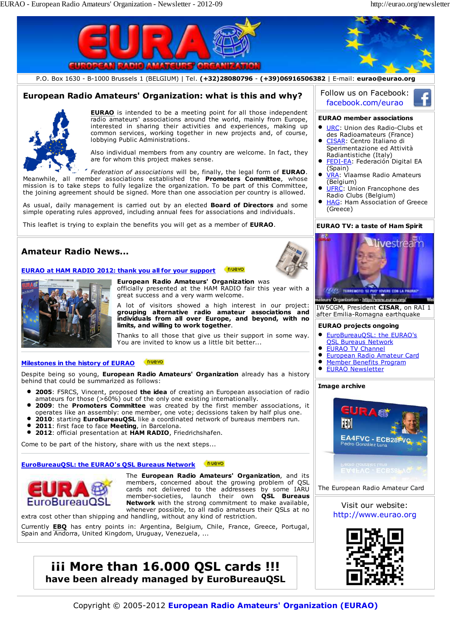